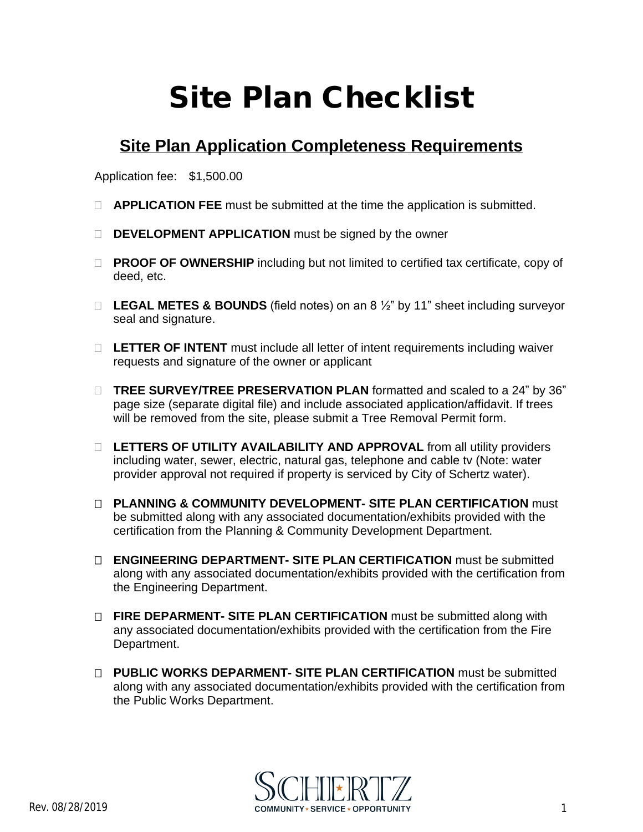## **Site Plan Checklist**

## **Site Plan Application Completeness Requirements**

Application fee: \$1,500.00

- **APPLICATION FEE** must be submitted at the time the application is submitted.
- **DEVELOPMENT APPLICATION** must be signed by the owner
- □ **PROOF OF OWNERSHIP** including but not limited to certified tax certificate, copy of deed, etc.
- **LEGAL METES & BOUNDS** (field notes) on an 8 ½" by 11" sheet including surveyor seal and signature.
- **LETTER OF INTENT** must include all letter of intent requirements including waiver requests and signature of the owner or applicant
- **TREE SURVEY/TREE PRESERVATION PLAN** formatted and scaled to a 24" by 36" page size (separate digital file) and include associated application/affidavit. If trees will be removed from the site, please submit a Tree Removal Permit form.
- □ LETTERS OF UTILITY AVAILABILITY AND APPROVAL from all utility providers including water, sewer, electric, natural gas, telephone and cable tv (Note: water provider approval not required if property is serviced by City of Schertz water).
- **PLANNING & COMMUNITY DEVELOPMENT- SITE PLAN CERTIFICATION** must be submitted along with any associated documentation/exhibits provided with the certification from the Planning & Community Development Department.
- **ENGINEERING DEPARTMENT- SITE PLAN CERTIFICATION** must be submitted along with any associated documentation/exhibits provided with the certification from the Engineering Department.
- **FIRE DEPARMENT- SITE PLAN CERTIFICATION** must be submitted along with any associated documentation/exhibits provided with the certification from the Fire Department.
- **PUBLIC WORKS DEPARMENT- SITE PLAN CERTIFICATION** must be submitted along with any associated documentation/exhibits provided with the certification from the Public Works Department.